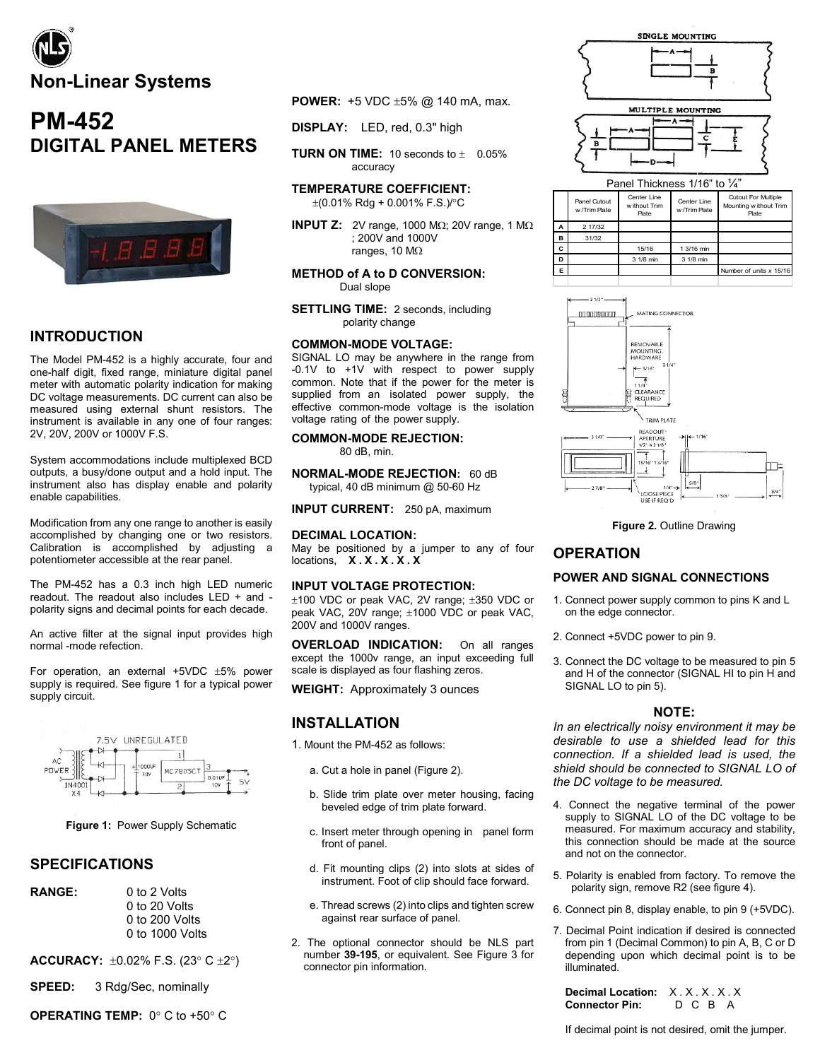

# **PM-452 DIGITAL PANEL METERS**



### **INTRODUCTION**

The Model PM-452 is a highly accurate, four and one-half digit, fixed range, miniature digital panel meter with automatic polarity indication for making DC voltage measurements. DC current can also be measured using external shunt resistors. The instrument is available in any one of four ranges: 2V, 20V, 200V or 1000V F.S.

System accommodations include multiplexed BCD outputs, a busy/done output and a hold input. The instrument also has display enable and polarity enable capabilities.

Modification from any one range to another is easily accomplished by changing one or two resistors. Calibration is accomplished by adjusting a potentiometer accessible at the rear panel.

The PM-452 has a 0.3 inch high LED numeric readout. The readout also includes LED + and polarity signs and decimal points for each decade.

An active filter at the signal input provides high normal -mode refection.

For operation, an external  $+5VDC \pm 5%$  power supply is required. See figure 1 for a typical power supply circuit.



**Figure 1:** Power Supply Schematic

### **SPECIFICATIONS**

**RANGE:** 0 to 2 Volts 0 to 20 Volts 0 to 200 Volts 0 to 1000 Volts

**ACCURACY:** ±0.02% F.S. (23° C ±2°)

**SPEED:** 3 Rdg/Sec, nominally

**OPERATING TEMP:** 0° C to +50° C

- **POWER:** +5 VDC ±5% @ 140 mA, max.
- **DISPLAY:** LED, red, 0.3" high
- **TURN ON TIME:** 10 seconds to  $\pm$  0.05% accuracy

**TEMPERATURE COEFFICIENT:** 

±(0.01% Rdg + 0.001% F.S.)/°C

**INPUT Z:** 2V range, 1000 MΩ; 20V range, 1 MΩ ; 200V and 1000V ranges, 10 MΩ

**METHOD of A to D CONVERSION:** Dual slope

**SETTLING TIME:** 2 seconds, including polarity change

#### **COMMON-MODE VOLTAGE:**

SIGNAL LO may be anywhere in the range from -0.1V to +1V with respect to power supply common. Note that if the power for the meter is supplied from an isolated power supply, the effective common-mode voltage is the isolation voltage rating of the power supply.

**COMMON-MODE REJECTION:** 80 dB, min.

**NORMAL-MODE REJECTION:** 60 dB typical, 40 dB minimum @ 50-60 Hz

**INPUT CURRENT:** 250 pA, maximum

#### **DECIMAL LOCATION:**

May be positioned by a jumper to any of four locations, **X . X . X . X . X**

#### **INPUT VOLTAGE PROTECTION:**

±100 VDC or peak VAC, 2V range; ±350 VDC or peak VAC, 20V range; ±1000 VDC or peak VAC, 200V and 1000V ranges.

**OVERLOAD INDICATION:** On all ranges except the 1000v range, an input exceeding full scale is displayed as four flashing zeros.

**WEIGHT:** Approximately 3 ounces

#### **INSTALLATION**

1. Mount the PM-452 as follows:

- a. Cut a hole in panel (Figure 2).
- b. Slide trim plate over meter housing, facing beveled edge of trim plate forward.
- c. Insert meter through opening in panel form front of panel.
- d. Fit mounting clips (2) into slots at sides of instrument. Foot of clip should face forward.
- e. Thread screws (2) into clips and tighten screw against rear surface of panel.
- 2. The optional connector should be NLS part number **39-195**, or equivalent. See Figure 3 for connector pin information.





|   | Panel Cutout<br>w /Trim Plate | Center I ine<br>w ithout Trim<br><b>Plate</b> | Center I ine<br>w /Trim Plate | <b>Cutout For Multiple</b><br>Mounting without Trim<br><b>Plate</b> |
|---|-------------------------------|-----------------------------------------------|-------------------------------|---------------------------------------------------------------------|
| А | 2 17/32                       |                                               |                               |                                                                     |
| в | 31/32                         |                                               |                               |                                                                     |
| C |                               | 15/16                                         | 1 3/16 min                    |                                                                     |
| D |                               | 3 1/8 min                                     | 3 1/8 min                     |                                                                     |
| Е |                               |                                               |                               | Number of units x 15/16                                             |
|   |                               |                                               |                               |                                                                     |



#### **Figure 2.** Outline Drawing

### **OPERATION**

### **POWER AND SIGNAL CONNECTIONS**

- 1. Connect power supply common to pins K and L on the edge connector.
- 2. Connect +5VDC power to pin 9.
- 3. Connect the DC voltage to be measured to pin 5 and H of the connector (SIGNAL HI to pin H and SIGNAL LO to pin 5).

#### **NOTE:**

*In an electrically noisy environment it may be desirable to use a shielded lead for this connection. If a shielded lead is used, the shield should be connected to SIGNAL LO of the DC voltage to be measured.*

- 4. Connect the negative terminal of the power supply to SIGNAL LO of the DC voltage to be measured. For maximum accuracy and stability, this connection should be made at the source and not on the connector.
- 5. Polarity is enabled from factory. To remove the polarity sign, remove R2 (see figure 4).
- 6. Connect pin 8, display enable, to pin 9 (+5VDC).
- 7. Decimal Point indication if desired is connected from pin 1 (Decimal Common) to pin A, B, C or D depending upon which decimal point is to be illuminated.

**Decimal Location:** X.X.X.X.X<br>**Connector Pin:** D C B A **Connector Pin:**